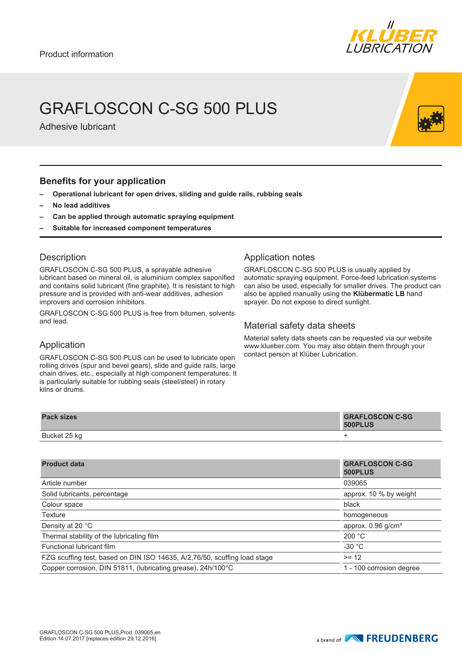

## GRAFLOSCON C-SG 500 PLUS

Adhesive lubricant

#### **Benefits for your application**

- **– Operational lubricant for open drives, sliding and guide rails, rubbing seals**
- **– No lead additives**
- **– Can be applied through automatic spraying equipment**
- **– Suitable for increased component temperatures**

#### **Description**

GRAFLOSCON C-SG 500 PLUS, a sprayable adhesive lubricant based on mineral oil, is aluminium complex saponified and contains solid lubricant (fine graphite). It is resistant to high pressure and is provided with anti-wear additives, adhesion improvers and corrosion inhibitors.

GRAFLOSCON C-SG 500 PLUS is free from bitumen, solvents and lead.

#### Application notes

GRAFLOSCON C-SG 500 PLUS is usually applied by automatic spraying equipment. Force-feed lubrication systems can also be used, especially for smaller drives. The product can also be applied manually using the **Klübermatic LB** hand sprayer. Do not expose to direct sunlight.

#### Material safety data sheets

Material safety data sheets can be requested via our website www.klueber.com. You may also obtain them through your contact person at Klüber Lubrication.

### Application

GRAFLOSCON C-SG 500 PLUS can be used to lubricate open rolling drives (spur and bevel gears), slide and guide rails, large chain drives, etc., especially at high component temperatures. It is particularly suitable for rubbing seals (steel/steel) in rotary kilns or drums.

| <b>Pack sizes</b> | <b>GRAFLOSCON C-SG</b><br>500PLUS |
|-------------------|-----------------------------------|
| Bucket 25 kg      |                                   |

| <b>Product data</b>                                                       | <b>GRAFLOSCON C-SG</b><br>500PLUS |
|---------------------------------------------------------------------------|-----------------------------------|
| Article number                                                            | 039065                            |
| Solid lubricants, percentage                                              | approx. 10 % by weight            |
| Colour space                                                              | black                             |
| Texture                                                                   | homogeneous                       |
| Density at 20 °C                                                          | approx. $0.96$ g/cm <sup>3</sup>  |
| Thermal stability of the lubricating film                                 | 200 °C                            |
| Functional lubricant film                                                 | $-30 °C$                          |
| FZG scuffing test, based on DIN ISO 14635, A/2,76/50, scuffing load stage | $>= 12$                           |
| Copper corrosion, DIN 51811, (lubricating grease), 24h/100°C              | 1 - 100 corrosion degree          |